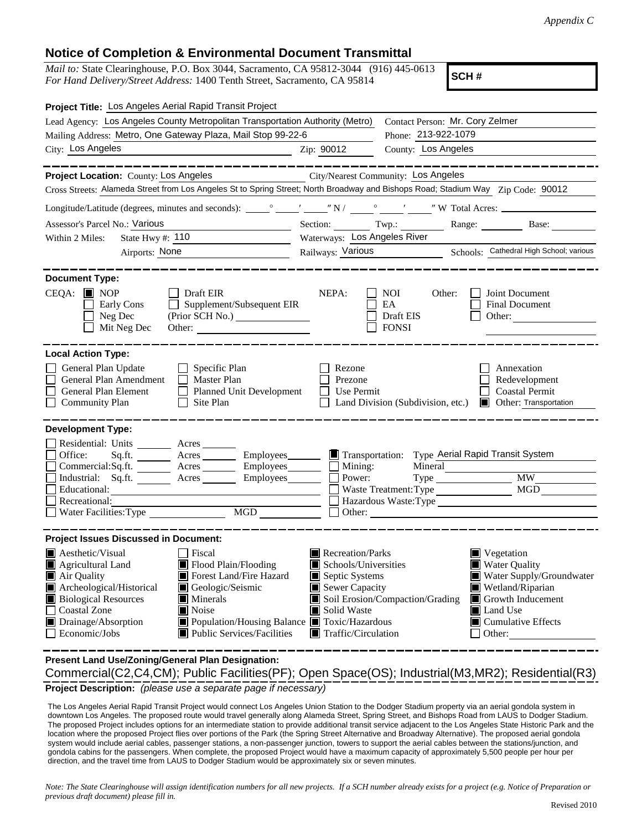## **Notice of Completion & Environmental Document Transmittal**

*Mail to:* State Clearinghouse, P.O. Box 3044, Sacramento, CA 95812-3044 (916) 445-0613 *For Hand Delivery/Street Address:* 1400 Tenth Street, Sacramento, CA 95814

**SCH #**

| Project Title: Los Angeles Aerial Rapid Transit Project                                                                                                                                                                                                                                                                                                                                                                   |                                                                                                                                                                      |                                                                                                                                                                   |  |  |  |
|---------------------------------------------------------------------------------------------------------------------------------------------------------------------------------------------------------------------------------------------------------------------------------------------------------------------------------------------------------------------------------------------------------------------------|----------------------------------------------------------------------------------------------------------------------------------------------------------------------|-------------------------------------------------------------------------------------------------------------------------------------------------------------------|--|--|--|
| Lead Agency: Los Angeles County Metropolitan Transportation Authority (Metro)                                                                                                                                                                                                                                                                                                                                             | Contact Person: Mr. Cory Zelmer                                                                                                                                      |                                                                                                                                                                   |  |  |  |
| Mailing Address: Metro, One Gateway Plaza, Mail Stop 99-22-6                                                                                                                                                                                                                                                                                                                                                              | Phone: 213-922-1079                                                                                                                                                  |                                                                                                                                                                   |  |  |  |
| City: Los Angeles<br><u> 1989 - Johann Barn, fransk politik (d. 1989)</u>                                                                                                                                                                                                                                                                                                                                                 | County: Los Angeles<br>Zip: 90012                                                                                                                                    |                                                                                                                                                                   |  |  |  |
|                                                                                                                                                                                                                                                                                                                                                                                                                           |                                                                                                                                                                      |                                                                                                                                                                   |  |  |  |
| Project Location: County: Los Angeles                                                                                                                                                                                                                                                                                                                                                                                     | City/Nearest Community: Los Angeles                                                                                                                                  |                                                                                                                                                                   |  |  |  |
| Cross Streets: Alameda Street from Los Angeles St to Spring Street; North Broadway and Bishops Road; Stadium Way Zip Code: 90012                                                                                                                                                                                                                                                                                          |                                                                                                                                                                      |                                                                                                                                                                   |  |  |  |
|                                                                                                                                                                                                                                                                                                                                                                                                                           |                                                                                                                                                                      |                                                                                                                                                                   |  |  |  |
| Assessor's Parcel No.: Various<br><u> 1989 - Johann Barbara, martxa a</u>                                                                                                                                                                                                                                                                                                                                                 | Section: Twp.: Range: Base: Base:                                                                                                                                    |                                                                                                                                                                   |  |  |  |
| State Hwy #: $110$<br>Within 2 Miles:<br><u> 1989 - Johann Barbara, martxa eta p</u>                                                                                                                                                                                                                                                                                                                                      | Waterways: Los Angeles River                                                                                                                                         |                                                                                                                                                                   |  |  |  |
| Airports: None                                                                                                                                                                                                                                                                                                                                                                                                            | Railways: Various Schools: Cathedral High School; various                                                                                                            |                                                                                                                                                                   |  |  |  |
|                                                                                                                                                                                                                                                                                                                                                                                                                           |                                                                                                                                                                      |                                                                                                                                                                   |  |  |  |
| <b>Document Type:</b><br>$CEQA:$ MOP<br>Draft EIR<br>Supplement/Subsequent EIR<br>Early Cons<br>Neg Dec<br>Mit Neg Dec                                                                                                                                                                                                                                                                                                    | NEPA:<br><b>NOI</b><br>Other:<br>EA<br>Draft EIS<br><b>FONSI</b>                                                                                                     | Joint Document<br>Final Document<br>Other: $\qquad \qquad$                                                                                                        |  |  |  |
| <b>Local Action Type:</b>                                                                                                                                                                                                                                                                                                                                                                                                 |                                                                                                                                                                      |                                                                                                                                                                   |  |  |  |
| General Plan Update<br>$\Box$ Specific Plan<br>General Plan Amendment<br>$\Box$ Master Plan<br>Planned Unit Development<br>General Plan Element<br><b>Community Plan</b><br>$\Box$ Site Plan                                                                                                                                                                                                                              | Rezone<br>Prezone<br>Use Permit<br>Land Division (Subdivision, etc.)                                                                                                 | Annexation<br>Redevelopment<br><b>Coastal Permit</b><br><b>Other: Transportation</b>                                                                              |  |  |  |
| <b>Development Type:</b><br>Residential: Units ________ Acres _______<br>Office:<br>Sq.ft.<br>$Commercial:Sq.fit.$ Acres Employees $\Box$ Mining:<br>Industrial: Sq.ft. _______ Acres ________ Employees_______  <br>Educational:<br>Recreational:<br>MGD<br>Water Facilities: Type                                                                                                                                       | Acres ________ Employees_______ In Transportation: Type Aerial Rapid Transit System<br>Power:<br>Waste Treatment: Type<br>Hazardous Waste:Type<br>Other:             | MGD                                                                                                                                                               |  |  |  |
| <b>Project Issues Discussed in Document:</b>                                                                                                                                                                                                                                                                                                                                                                              |                                                                                                                                                                      |                                                                                                                                                                   |  |  |  |
| Aesthetic/Visual<br><b>Fiscal</b><br>$\blacksquare$ Flood Plain/Flooding<br>$\blacksquare$ Agricultural Land<br>Forest Land/Fire Hazard<br>Air Quality<br>Archeological/Historical<br>Geologic/Seismic<br>▣<br><b>Biological Resources</b><br>$\blacksquare$ Minerals<br><b>Coastal Zone</b><br>Noise<br>Drainage/Absorption<br>Population/Housing Balance Toxic/Hazardous<br>Economic/Jobs<br>Public Services/Facilities | Recreation/Parks<br>Schools/Universities<br>Septic Systems<br>Sewer Capacity<br>Soil Erosion/Compaction/Grading<br>Solid Waste<br>$\blacksquare$ Traffic/Circulation | ■ Vegetation<br>Water Quality<br>Water Supply/Groundwater<br>Wetland/Riparian<br>Growth Inducement<br>О<br>Land Use<br>$\Box$ Cumulative Effects<br>$\Box$ Other: |  |  |  |

**Project Description:** *(please use a separate page if necessary)* Commercial(C2,C4,CM); Public Facilities(PF); Open Space(OS); Industrial(M3,MR2); Residential(R3) **Present Land Use/Zoning/General Plan Designation:**

 The Los Angeles Aerial Rapid Transit Project would connect Los Angeles Union Station to the Dodger Stadium property via an aerial gondola system in downtown Los Angeles. The proposed route would travel generally along Alameda Street, Spring Street, and Bishops Road from LAUS to Dodger Stadium. The proposed Project includes options for an intermediate station to provide additional transit service adjacent to the Los Angeles State Historic Park and the location where the proposed Project flies over portions of the Park (the Spring Street Alternative and Broadway Alternative). The proposed aerial gondola system would include aerial cables, passenger stations, a non-passenger junction, towers to support the aerial cables between the stations/junction, and gondola cabins for the passengers. When complete, the proposed Project would have a maximum capacity of approximately 5,500 people per hour per direction, and the travel time from LAUS to Dodger Stadium would be approximately six or seven minutes.

*Note: The State Clearinghouse will assign identification numbers for all new projects. If a SCH number already exists for a project (e.g. Notice of Preparation or previous draft document) please fill in.*